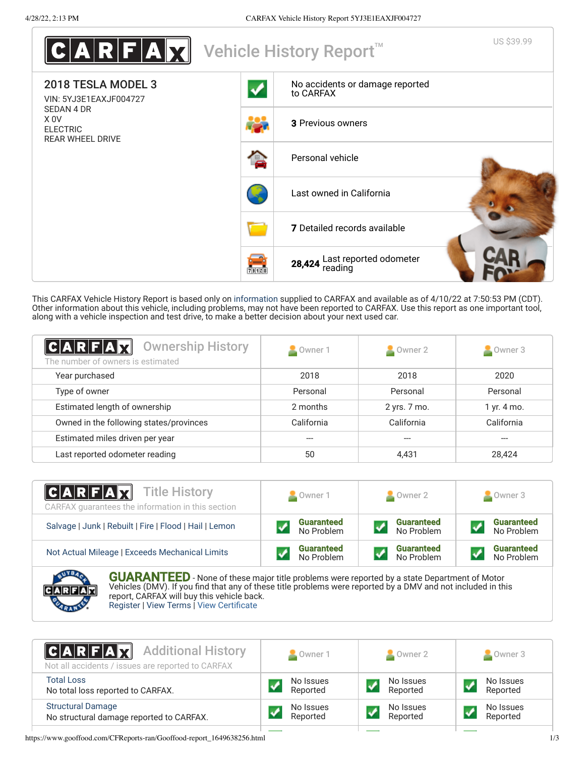

This CARFAX Vehicle History Report is based only on [information](http://www.carfax.com/company/vhr-data-sources) supplied to CARFAX and available as of 4/10/22 at 7:50:53 PM (CDT). Other information about this vehicle, including problems, may not have been reported to CARFAX. Use this report as one important tool, along with a vehicle inspection and test drive, to make a better decision about your next used car.

<span id="page-0-1"></span>

| $C A R F A \overline{M}$<br><b>Ownership History</b><br>The number of owners is estimated | Owner 1    | Owner 2      | $\triangle$ Owner 3 |
|-------------------------------------------------------------------------------------------|------------|--------------|---------------------|
| Year purchased                                                                            | 2018       | 2018         | 2020                |
| Type of owner                                                                             | Personal   | Personal     | Personal            |
| Estimated length of ownership                                                             | 2 months   | 2 yrs. 7 mo. | 1 yr. 4 mo.         |
| Owned in the following states/provinces                                                   | California | California   | California          |
| Estimated miles driven per year                                                           |            |              |                     |
| Last reported odometer reading                                                            | 50         | 4,431        | 28,424              |

| <b>CARFAX</b> Title History<br>CARFAX quarantees the information in this section | Owner 1           | $\bullet$ Owner 2 | Owner 3           |
|----------------------------------------------------------------------------------|-------------------|-------------------|-------------------|
| Salvage   Junk   Rebuilt   Fire   Flood   Hail   Lemon                           | <b>Guaranteed</b> | <b>Guaranteed</b> | <b>Guaranteed</b> |
|                                                                                  | No Problem        | No Problem        | No Problem        |
| Not Actual Mileage   Exceeds Mechanical Limits                                   | <b>Guaranteed</b> | <b>Guaranteed</b> | <b>Guaranteed</b> |
|                                                                                  | No Problem        | No Problem        | No Problem        |
| <b>AVEA</b><br>AU A DA NITEER                                                    |                   |                   |                   |



**GUARANTEED** - None of these major title problems were reported by a state Department of Motor Vehicles (DMV). If you find that any of these title problems were reported by a DMV and not included in this report, CARFAX will buy this vehicle back. [Register](https://www.carfax.com/Service/bbg) | [View Terms](http://www.carfaxonline.com/legal/bbgTerms) | [View Certificate](https://www.gooffood.com/CFReports-ran/Gooffood-report_1649638256.html)

<span id="page-0-0"></span>

| <b>CARFAX</b> Additional History<br>Not all accidents / issues are reported to CARFAX | Owner 1                    | Owner 2               | Owner 3               |
|---------------------------------------------------------------------------------------|----------------------------|-----------------------|-----------------------|
| <b>Total Loss</b><br>No total loss reported to CARFAX.                                | No Issues<br>Reported      | No Issues<br>Reported | No Issues<br>Reported |
| <b>Structural Damage</b><br>No structural damage reported to CARFAX.                  | No Issues<br>V<br>Reported | No Issues<br>Reported | No Issues<br>Reported |

https://www.gooffood.com/CFReports-ran/Gooffood-report\_1649638256.html 1/3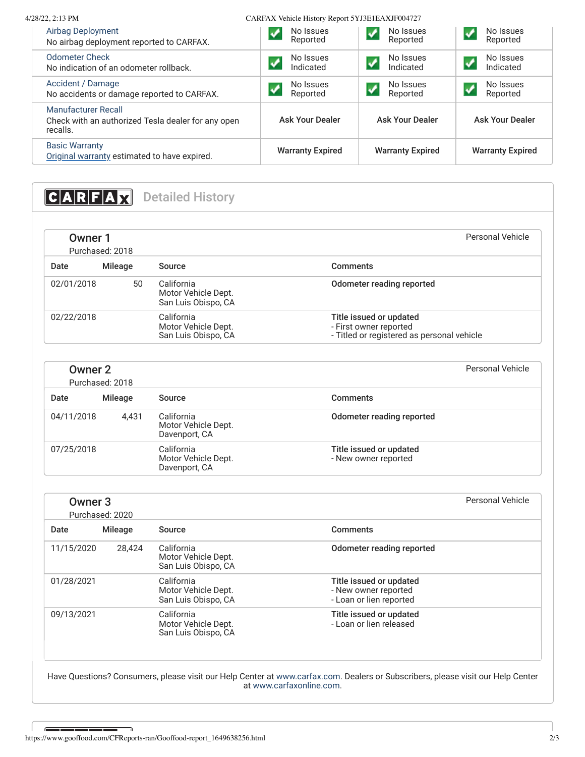| 4/28/22, 2:13 PM                                                                             | CARFAX Vehicle History Report 5YJ3E1EAXJF004727 |                                    |                         |
|----------------------------------------------------------------------------------------------|-------------------------------------------------|------------------------------------|-------------------------|
| Airbag Deployment<br>No airbag deployment reported to CARFAX.                                | No Issues<br>Reported                           | No Issues<br>Reported              | No Issues<br>Reported   |
| <b>Odometer Check</b><br>No indication of an odometer rollback.                              | No Issues<br>Indicated                          | No Issues<br>Indicated             | No Issues<br>Indicated  |
| Accident / Damage<br>No accidents or damage reported to CARFAX.                              | No Issues<br>Reported                           | No Issues<br>$\sqrt{}$<br>Reported | No Issues<br>Reported   |
| <b>Manufacturer Recall</b><br>Check with an authorized Tesla dealer for any open<br>recalls. | <b>Ask Your Dealer</b>                          | <b>Ask Your Dealer</b>             | <b>Ask Your Dealer</b>  |
| <b>Basic Warranty</b><br>Original warranty estimated to have expired.                        | <b>Warranty Expired</b>                         | <b>Warranty Expired</b>            | <b>Warranty Expired</b> |

# <span id="page-1-0"></span>**CARFAX** Detailed History

| Owner 1    | Purchased: 2018 |                                                          | Personal Vehicle                                                                                |
|------------|-----------------|----------------------------------------------------------|-------------------------------------------------------------------------------------------------|
| Date       | Mileage         | Source                                                   | Comments                                                                                        |
| 02/01/2018 | 50              | California<br>Motor Vehicle Dept.<br>San Luis Obispo, CA | Odometer reading reported                                                                       |
| 02/22/2018 |                 | California<br>Motor Vehicle Dept.<br>San Luis Obispo, CA | Title issued or updated<br>- First owner reported<br>- Titled or registered as personal vehicle |

| Owner 2    | Purchased: 2018 |                                                    |                                                 | Personal Vehicle |
|------------|-----------------|----------------------------------------------------|-------------------------------------------------|------------------|
| Date       | Mileage         | Source                                             | Comments                                        |                  |
| 04/11/2018 | 4,431           | California<br>Motor Vehicle Dept.<br>Davenport, CA | Odometer reading reported                       |                  |
| 07/25/2018 |                 | California<br>Motor Vehicle Dept.<br>Davenport, CA | Title issued or updated<br>- New owner reported |                  |

| Owner <sub>3</sub> | Purchased: 2020 |                                                          | Personal Vehicle                                                           |
|--------------------|-----------------|----------------------------------------------------------|----------------------------------------------------------------------------|
| Date               | <b>Mileage</b>  | Source                                                   | Comments                                                                   |
| 11/15/2020         | 28,424          | California<br>Motor Vehicle Dept.<br>San Luis Obispo, CA | Odometer reading reported                                                  |
| 01/28/2021         |                 | California<br>Motor Vehicle Dept.<br>San Luis Obispo, CA | Title issued or updated<br>- New owner reported<br>- Loan or lien reported |
| 09/13/2021         |                 | California<br>Motor Vehicle Dept.<br>San Luis Obispo, CA | Title issued or updated<br>- Loan or lien released                         |

Have Questions? Consumers, please visit our Help Center at [www.carfax.com](http://www.carfax.com/help). Dealers or Subscribers, please visit our Help Center at [www.carfaxonline.com.](http://www.carfaxonline.com/)